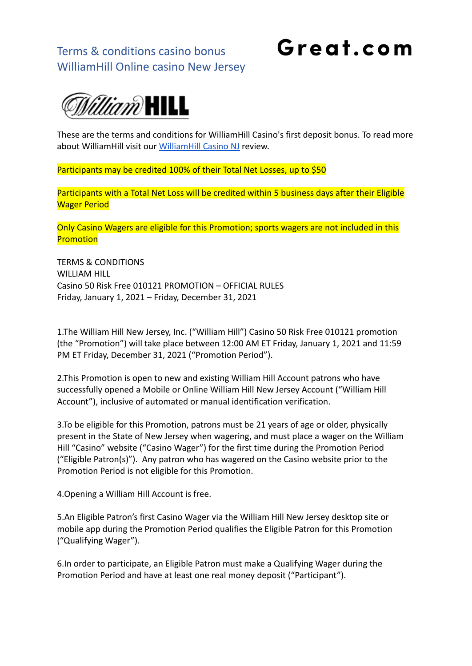Great.com



These are the terms and conditions for WilliamHill Casino's first deposit bonus. To read more about WilliamHill visit our [WilliamHill Casino NJ](https://great.com/en-us/online-casino/williamhill-online-casino-nj/) review.

Participants may be credited 100% of their Total Net Losses, up to \$50

Participants with a Total Net Loss will be credited within 5 business days after their Eligible Wager Period

Only Casino Wagers are eligible for this Promotion; sports wagers are not included in this **Promotion** 

TERMS & CONDITIONS WILLIAM HILL Casino 50 Risk Free 010121 PROMOTION – OFFICIAL RULES Friday, January 1, 2021 – Friday, December 31, 2021

1.The William Hill New Jersey, Inc. ("William Hill") Casino 50 Risk Free 010121 promotion (the "Promotion") will take place between 12:00 AM ET Friday, January 1, 2021 and 11:59 PM ET Friday, December 31, 2021 ("Promotion Period").

2.This Promotion is open to new and existing William Hill Account patrons who have successfully opened a Mobile or Online William Hill New Jersey Account ("William Hill Account"), inclusive of automated or manual identification verification.

3.To be eligible for this Promotion, patrons must be 21 years of age or older, physically present in the State of New Jersey when wagering, and must place a wager on the William Hill "Casino" website ("Casino Wager") for the first time during the Promotion Period ("Eligible Patron(s)"). Any patron who has wagered on the Casino website prior to the Promotion Period is not eligible for this Promotion.

4.Opening a William Hill Account is free.

5.An Eligible Patron's first Casino Wager via the William Hill New Jersey desktop site or mobile app during the Promotion Period qualifies the Eligible Patron for this Promotion ("Qualifying Wager").

6.In order to participate, an Eligible Patron must make a Qualifying Wager during the Promotion Period and have at least one real money deposit ("Participant").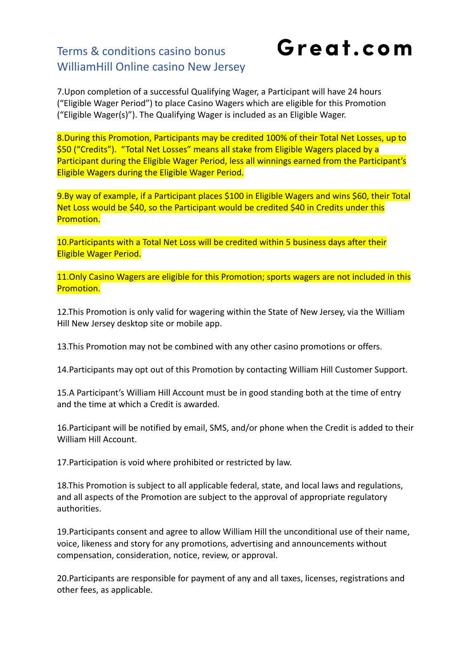Great.com

7.Upon completion of a successful Qualifying Wager, a Participant will have 24 hours ("Eligible Wager Period") to place Casino Wagers which are eligible for this Promotion ("Eligible Wager(s)"). The Qualifying Wager is included as an Eligible Wager.

8.During this Promotion, Participants may be credited 100% of their Total Net Losses, up to \$50 ("Credits"). "Total Net Losses" means all stake from Eligible Wagers placed by a Participant during the Eligible Wager Period, less all winnings earned from the Participant's Eligible Wagers during the Eligible Wager Period.

9.By way of example, if a Participant places \$100 in Eligible Wagers and wins \$60, their Total Net Loss would be \$40, so the Participant would be credited \$40 in Credits under this Promotion.

10.Participants with a Total Net Loss will be credited within 5 business days after their Eligible Wager Period.

11. Only Casino Wagers are eligible for this Promotion; sports wagers are not included in this Promotion.

12.This Promotion is only valid for wagering within the State of New Jersey, via the William Hill New Jersey desktop site or mobile app.

13.This Promotion may not be combined with any other casino promotions or offers.

14.Participants may opt out of this Promotion by contacting William Hill Customer Support.

15.A Participant's William Hill Account must be in good standing both at the time of entry and the time at which a Credit is awarded.

16.Participant will be notified by email, SMS, and/or phone when the Credit is added to their William Hill Account.

17.Participation is void where prohibited or restricted by law.

18.This Promotion is subject to all applicable federal, state, and local laws and regulations, and all aspects of the Promotion are subject to the approval of appropriate regulatory authorities.

19.Participants consent and agree to allow William Hill the unconditional use of their name, voice, likeness and story for any promotions, advertising and announcements without compensation, consideration, notice, review, or approval.

20.Participants are responsible for payment of any and all taxes, licenses, registrations and other fees, as applicable.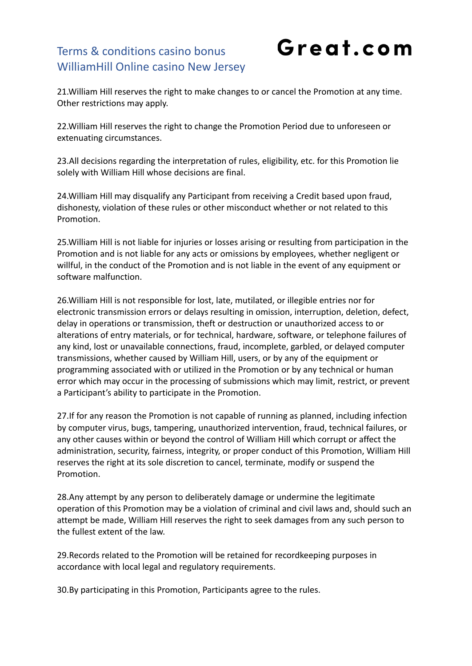Great.com

21.William Hill reserves the right to make changes to or cancel the Promotion at any time. Other restrictions may apply.

22.William Hill reserves the right to change the Promotion Period due to unforeseen or extenuating circumstances.

23.All decisions regarding the interpretation of rules, eligibility, etc. for this Promotion lie solely with William Hill whose decisions are final.

24.William Hill may disqualify any Participant from receiving a Credit based upon fraud, dishonesty, violation of these rules or other misconduct whether or not related to this Promotion.

25.William Hill is not liable for injuries or losses arising or resulting from participation in the Promotion and is not liable for any acts or omissions by employees, whether negligent or willful, in the conduct of the Promotion and is not liable in the event of any equipment or software malfunction.

26.William Hill is not responsible for lost, late, mutilated, or illegible entries nor for electronic transmission errors or delays resulting in omission, interruption, deletion, defect, delay in operations or transmission, theft or destruction or unauthorized access to or alterations of entry materials, or for technical, hardware, software, or telephone failures of any kind, lost or unavailable connections, fraud, incomplete, garbled, or delayed computer transmissions, whether caused by William Hill, users, or by any of the equipment or programming associated with or utilized in the Promotion or by any technical or human error which may occur in the processing of submissions which may limit, restrict, or prevent a Participant's ability to participate in the Promotion.

27.If for any reason the Promotion is not capable of running as planned, including infection by computer virus, bugs, tampering, unauthorized intervention, fraud, technical failures, or any other causes within or beyond the control of William Hill which corrupt or affect the administration, security, fairness, integrity, or proper conduct of this Promotion, William Hill reserves the right at its sole discretion to cancel, terminate, modify or suspend the Promotion.

28.Any attempt by any person to deliberately damage or undermine the legitimate operation of this Promotion may be a violation of criminal and civil laws and, should such an attempt be made, William Hill reserves the right to seek damages from any such person to the fullest extent of the law.

29.Records related to the Promotion will be retained for recordkeeping purposes in accordance with local legal and regulatory requirements.

30.By participating in this Promotion, Participants agree to the rules.